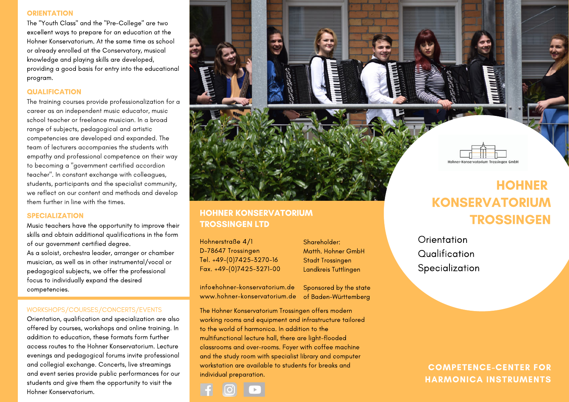### **ORIENTATION**

The "Youth Class" and the "Pre-College" are two excellent ways to prepare for an education at the Hohner Konservatorium. At the same time as school or already enrolled at the Conservatory, musical knowledge and playing skills are developed, providing a good basis for entry into the educational program.

## **QUALIFICATION**

The training courses provide professionalization for a career as an independent music educator, music school teacher or freelance musician. In a broad range of subjects, pedagogical and artistic competencies are developed and expanded. The team of lecturers accompanies the students with empathy and professional competence on their way to becoming a "government certified accordion teacher". In constant exchange with colleagues, students, participants and the specialist community, we reflect on our content and methods and develop them further in line with the times.

## SPECIALIZATION

Music teachers have the opportunity to improve their skills and obtain additional qualifications in the form of our government certified degree. As a soloist, orchestra leader, arranger or chamber musician, as well as in other instrumental/vocal or pedagogical subjects, we offer the professional focus to individually expand the desired competencies.

## WORKSHOPS/COURSES/CONCERTS/EVENTS

Orientation, qualification and specialization are also offered by courses, workshops and online training. In addition to education, these formats form further access routes to the Hohner Konservatorium. Lecture evenings and pedagogical forums invite professional and collegial exchange. Concerts, live streamings and event series provide public performances for our students and give them the opportunity to visit the Hohner Konservatorium.



## HOHNER KONSERVATORIUM TROSSINGEN LTD

Hohnerstraße 4/1 D-78647 Trossingen Tel. +49-(0)7425-3270-16 Fax. +49-(0)7425-3271-00

Shareholder: Matth. Hohner GmbH Stadt Trossingen Landkreis Tuttlingen

info@hohner-konservatorium.de www.hohner-konservatorium.de of Baden-Württemberg

Sponsored by the state

The Hohner Konservatorium Trossingen offers modern working rooms and equipment and infrastructure tailored to the world of harmonica. In addition to the multifunctional lecture hall, there are light-flooded classrooms and over-rooms. Foyer with coffee machine and the study room with specialist library and computer workstation are available to students for breaks and individual preparation.



# **ACADEMY** KONSERVATORIUM **TROSSINGEN**

**Orientation** Qualification Specialization

> COMPETENCE-CENTER FOR HARMONICA INSTRUMENTS